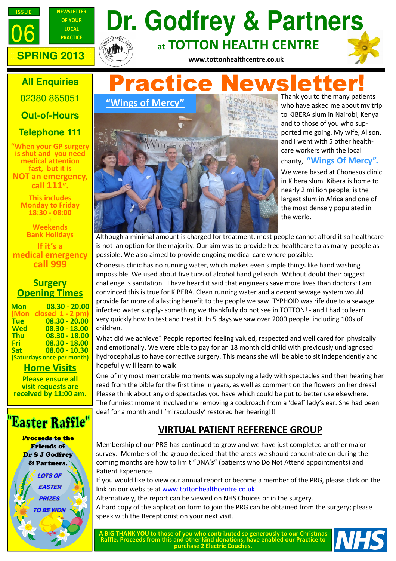



# **PRACTICE Dr. Godfrey & Partners** at TOTTON HEALTH CENTRE



www.tottonhealthcentre.co.uk

## **All Enquiries**

02380 865051

## **Out-of-Hours**

## **Telephone 111**

"When your GP surgery is shut and you need medical attention fast, but it is NOT an emergency, call 111".

> This includes Monday to Friday 18:30 - 08:00 +

**Weekends** Bank Holidays

If it's a medical emergency call 999

## **Surgery Opening Times**

| <b>Mon</b>                 | $08.30 - 20.00$   |
|----------------------------|-------------------|
| (Mon                       | closed $1 - 2$ pm |
| <b>Tue</b>                 | $08.30 - 20.00$   |
| <b>Wed</b>                 | $08.30 - 18.00$   |
| <b>Thu</b>                 | $08.30 - 18.00$   |
| <b>Fri</b>                 | 08.30 - 18.00     |
| <b>Sat</b>                 | 08.00 - 10.30     |
| (Saturdays once per month) |                   |

**Home Visits** 

Please ensure all visit requests are received by 11:00 am.

## 'Easter Raffle"

Proceeds to the Friends of Dr S J Godfrey & Partners.





Thank you to the many patients who have asked me about my trip to KIBERA slum in Nairobi, Kenya and to those of you who supported me going. My wife, Alison, and I went with 5 other healthcare workers with the local charity, "Wings Of Mercy".

We were based at Chonesus clinic in Kibera slum. Kibera is home to nearly 2 million people; is the largest slum in Africa and one of the most densely populated in the world.

Although a minimal amount is charged for treatment, most people cannot afford it so healthcare is not an option for the majority. Our aim was to provide free healthcare to as many people as possible. We also aimed to provide ongoing medical care where possible.

Chonesus clinic has no running water, which makes even simple things like hand washing impossible. We used about five tubs of alcohol hand gel each! Without doubt their biggest challenge is sanitation. I have heard it said that engineers save more lives than doctors; I am convinced this is true for KIBERA. Clean running water and a decent sewage system would provide far more of a lasting benefit to the people we saw. TYPHOID was rife due to a sewage infected water supply- something we thankfully do not see in TOTTON! - and I had to learn very quickly how to test and treat it. In 5 days we saw over 2000 people including 100s of children.

What did we achieve? People reported feeling valued, respected and well cared for physically and emotionally. We were able to pay for an 18 month old child with previously undiagnosed hydrocephalus to have corrective surgery. This means she will be able to sit independently and hopefully will learn to walk.

One of my most memorable moments was supplying a lady with spectacles and then hearing her read from the bible for the first time in years, as well as comment on the flowers on her dress! Please think about any old spectacles you have which could be put to better use elsewhere. The funniest moment involved me removing a cockroach from a 'deaf' lady's ear. She had been deaf for a month and I 'miraculously' restored her hearing!!!

## VIRTUAL PATIENT REFERENCE GROUP

Membership of our PRG has continued to grow and we have just completed another major survey. Members of the group decided that the areas we should concentrate on during the coming months are how to limit "DNA's" (patients who Do Not Attend appointments) and Patient Experience.

If you would like to view our annual report or become a member of the PRG, please click on the link on our website at www.tottonhealthcentre.co.uk

Alternatively, the report can be viewed on NHS Choices or in the surgery.

A hard copy of the application form to join the PRG can be obtained from the surgery; please speak with the Receptionist on your next visit.

A BIG THANK YOU to those of you who contributed so generously to our Christmas Raffle. Proceeds from this and other kind donations, have enabled our Practice to purchase 2 Electric Couches.